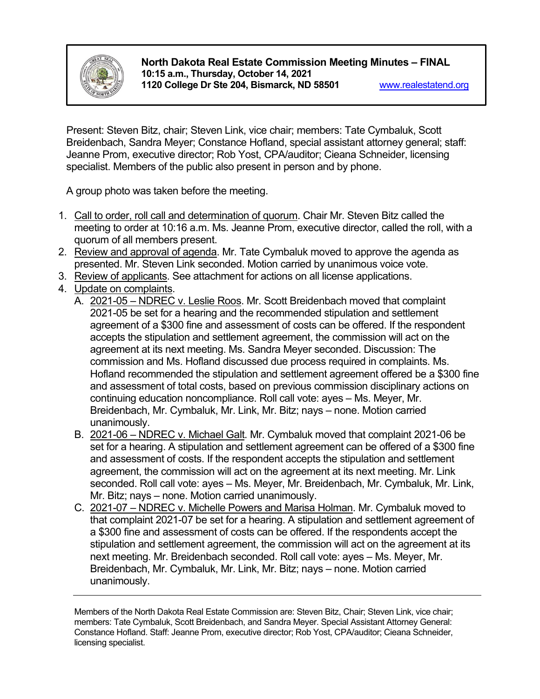

**North Dakota Real Estate Commission Meeting Minutes – FINAL 10:15 a.m., Thursday, October 14, 2021 1120 College Dr Ste 204, Bismarck, ND 58501** [www.realestatend.org](http://www.realestatend.org/)

Present: Steven Bitz, chair; Steven Link, vice chair; members: Tate Cymbaluk, Scott Breidenbach, Sandra Meyer; Constance Hofland, special assistant attorney general; staff: Jeanne Prom, executive director; Rob Yost, CPA/auditor; Cieana Schneider, licensing specialist. Members of the public also present in person and by phone.

A group photo was taken before the meeting.

- 1. Call to order, roll call and determination of quorum. Chair Mr. Steven Bitz called the meeting to order at 10:16 a.m. Ms. Jeanne Prom, executive director, called the roll, with a quorum of all members present.
- 2. Review and approval of agenda. Mr. Tate Cymbaluk moved to approve the agenda as presented. Mr. Steven Link seconded. Motion carried by unanimous voice vote.
- 3. Review of applicants. See attachment for actions on all license applications.
- 4. Update on complaints.
	- A. 2021-05 NDREC v. Leslie Roos. Mr. Scott Breidenbach moved that complaint 2021-05 be set for a hearing and the recommended stipulation and settlement agreement of a \$300 fine and assessment of costs can be offered. If the respondent accepts the stipulation and settlement agreement, the commission will act on the agreement at its next meeting. Ms. Sandra Meyer seconded. Discussion: The commission and Ms. Hofland discussed due process required in complaints. Ms. Hofland recommended the stipulation and settlement agreement offered be a \$300 fine and assessment of total costs, based on previous commission disciplinary actions on continuing education noncompliance. Roll call vote: ayes – Ms. Meyer, Mr. Breidenbach, Mr. Cymbaluk, Mr. Link, Mr. Bitz; nays – none. Motion carried unanimously.
	- B. 2021-06 NDREC v. Michael Galt. Mr. Cymbaluk moved that complaint 2021-06 be set for a hearing. A stipulation and settlement agreement can be offered of a \$300 fine and assessment of costs. If the respondent accepts the stipulation and settlement agreement, the commission will act on the agreement at its next meeting. Mr. Link seconded. Roll call vote: ayes – Ms. Meyer, Mr. Breidenbach, Mr. Cymbaluk, Mr. Link, Mr. Bitz; nays – none. Motion carried unanimously.
	- C. 2021-07 NDREC v. Michelle Powers and Marisa Holman. Mr. Cymbaluk moved to that complaint 2021-07 be set for a hearing. A stipulation and settlement agreement of a \$300 fine and assessment of costs can be offered. If the respondents accept the stipulation and settlement agreement, the commission will act on the agreement at its next meeting. Mr. Breidenbach seconded. Roll call vote: ayes – Ms. Meyer, Mr. Breidenbach, Mr. Cymbaluk, Mr. Link, Mr. Bitz; nays – none. Motion carried unanimously.

Members of the North Dakota Real Estate Commission are: Steven Bitz, Chair; Steven Link, vice chair; members: Tate Cymbaluk, Scott Breidenbach, and Sandra Meyer. Special Assistant Attorney General: Constance Hofland. Staff: Jeanne Prom, executive director; Rob Yost, CPA/auditor; Cieana Schneider, licensing specialist.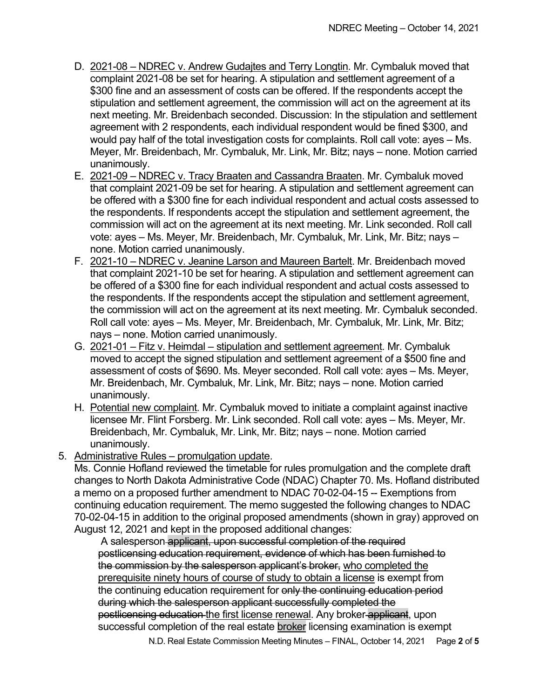- D. 2021-08 NDREC v. Andrew Gudajtes and Terry Longtin. Mr. Cymbaluk moved that complaint 2021-08 be set for hearing. A stipulation and settlement agreement of a \$300 fine and an assessment of costs can be offered. If the respondents accept the stipulation and settlement agreement, the commission will act on the agreement at its next meeting. Mr. Breidenbach seconded. Discussion: In the stipulation and settlement agreement with 2 respondents, each individual respondent would be fined \$300, and would pay half of the total investigation costs for complaints. Roll call vote: ayes – Ms. Meyer, Mr. Breidenbach, Mr. Cymbaluk, Mr. Link, Mr. Bitz; nays – none. Motion carried unanimously.
- E. 2021-09 NDREC v. Tracy Braaten and Cassandra Braaten. Mr. Cymbaluk moved that complaint 2021-09 be set for hearing. A stipulation and settlement agreement can be offered with a \$300 fine for each individual respondent and actual costs assessed to the respondents. If respondents accept the stipulation and settlement agreement, the commission will act on the agreement at its next meeting. Mr. Link seconded. Roll call vote: ayes – Ms. Meyer, Mr. Breidenbach, Mr. Cymbaluk, Mr. Link, Mr. Bitz; nays – none. Motion carried unanimously.
- F. 2021-10 NDREC v. Jeanine Larson and Maureen Bartelt. Mr. Breidenbach moved that complaint 2021-10 be set for hearing. A stipulation and settlement agreement can be offered of a \$300 fine for each individual respondent and actual costs assessed to the respondents. If the respondents accept the stipulation and settlement agreement, the commission will act on the agreement at its next meeting. Mr. Cymbaluk seconded. Roll call vote: ayes – Ms. Meyer, Mr. Breidenbach, Mr. Cymbaluk, Mr. Link, Mr. Bitz; nays – none. Motion carried unanimously.
- G. 2021-01 Fitz v. Heimdal stipulation and settlement agreement. Mr. Cymbaluk moved to accept the signed stipulation and settlement agreement of a \$500 fine and assessment of costs of \$690. Ms. Meyer seconded. Roll call vote: ayes – Ms. Meyer, Mr. Breidenbach, Mr. Cymbaluk, Mr. Link, Mr. Bitz; nays – none. Motion carried unanimously.
- H. Potential new complaint. Mr. Cymbaluk moved to initiate a complaint against inactive licensee Mr. Flint Forsberg. Mr. Link seconded. Roll call vote: ayes – Ms. Meyer, Mr. Breidenbach, Mr. Cymbaluk, Mr. Link, Mr. Bitz; nays – none. Motion carried unanimously.
- 5. Administrative Rules promulgation update.

Ms. Connie Hofland reviewed the timetable for rules promulgation and the complete draft changes to North Dakota Administrative Code (NDAC) Chapter 70. Ms. Hofland distributed a memo on a proposed further amendment to NDAC 70-02-04-15 -- Exemptions from continuing education requirement. The memo suggested the following changes to NDAC 70-02-04-15 in addition to the original proposed amendments (shown in gray) approved on August 12, 2021 and kept in the proposed additional changes:

A salesperson applicant, upon successful completion of the required postlicensing education requirement, evidence of which has been furnished to the commission by the salesperson applicant's broker, who completed the prerequisite ninety hours of course of study to obtain a license is exempt from the continuing education requirement for only the continuing education period during which the salesperson applicant successfully completed the postlicensing education the first license renewal. Any broker applicant, upon successful completion of the real estate broker licensing examination is exempt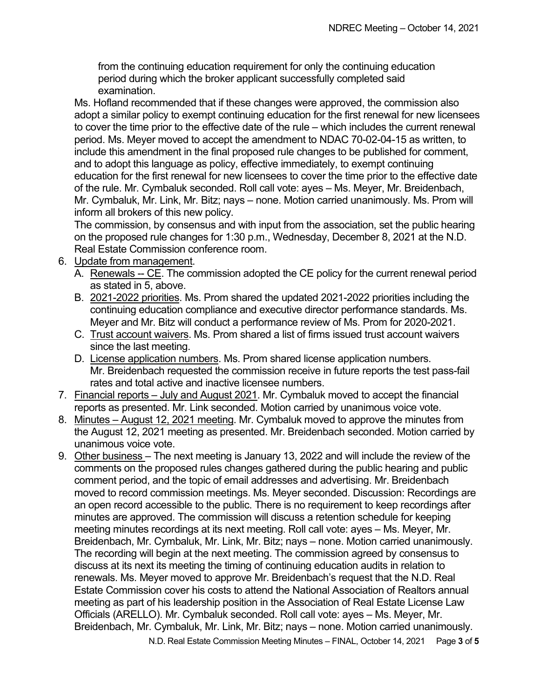from the continuing education requirement for only the continuing education period during which the broker applicant successfully completed said examination.

Ms. Hofland recommended that if these changes were approved, the commission also adopt a similar policy to exempt continuing education for the first renewal for new licensees to cover the time prior to the effective date of the rule – which includes the current renewal period. Ms. Meyer moved to accept the amendment to NDAC 70-02-04-15 as written, to include this amendment in the final proposed rule changes to be published for comment, and to adopt this language as policy, effective immediately, to exempt continuing education for the first renewal for new licensees to cover the time prior to the effective date of the rule. Mr. Cymbaluk seconded. Roll call vote: ayes – Ms. Meyer, Mr. Breidenbach, Mr. Cymbaluk, Mr. Link, Mr. Bitz; nays – none. Motion carried unanimously. Ms. Prom will inform all brokers of this new policy.

The commission, by consensus and with input from the association, set the public hearing on the proposed rule changes for 1:30 p.m., Wednesday, December 8, 2021 at the N.D. Real Estate Commission conference room.

- 6. Update from management.
	- A. Renewals -- CE. The commission adopted the CE policy for the current renewal period as stated in 5, above.
	- B. 2021-2022 priorities. Ms. Prom shared the updated 2021-2022 priorities including the continuing education compliance and executive director performance standards. Ms. Meyer and Mr. Bitz will conduct a performance review of Ms. Prom for 2020-2021.
	- C. Trust account waivers. Ms. Prom shared a list of firms issued trust account waivers since the last meeting.
	- D. License application numbers. Ms. Prom shared license application numbers. Mr. Breidenbach requested the commission receive in future reports the test pass-fail rates and total active and inactive licensee numbers.
- 7. Financial reports July and August 2021. Mr. Cymbaluk moved to accept the financial reports as presented. Mr. Link seconded. Motion carried by unanimous voice vote.
- 8. Minutes August 12, 2021 meeting. Mr. Cymbaluk moved to approve the minutes from the August 12, 2021 meeting as presented. Mr. Breidenbach seconded. Motion carried by unanimous voice vote.
- 9. Other business The next meeting is January 13, 2022 and will include the review of the comments on the proposed rules changes gathered during the public hearing and public comment period, and the topic of email addresses and advertising. Mr. Breidenbach moved to record commission meetings. Ms. Meyer seconded. Discussion: Recordings are an open record accessible to the public. There is no requirement to keep recordings after minutes are approved. The commission will discuss a retention schedule for keeping meeting minutes recordings at its next meeting. Roll call vote: ayes – Ms. Meyer, Mr. Breidenbach, Mr. Cymbaluk, Mr. Link, Mr. Bitz; nays – none. Motion carried unanimously. The recording will begin at the next meeting. The commission agreed by consensus to discuss at its next its meeting the timing of continuing education audits in relation to renewals. Ms. Meyer moved to approve Mr. Breidenbach's request that the N.D. Real Estate Commission cover his costs to attend the National Association of Realtors annual meeting as part of his leadership position in the Association of Real Estate License Law Officials (ARELLO). Mr. Cymbaluk seconded. Roll call vote: ayes – Ms. Meyer, Mr. Breidenbach, Mr. Cymbaluk, Mr. Link, Mr. Bitz; nays – none. Motion carried unanimously.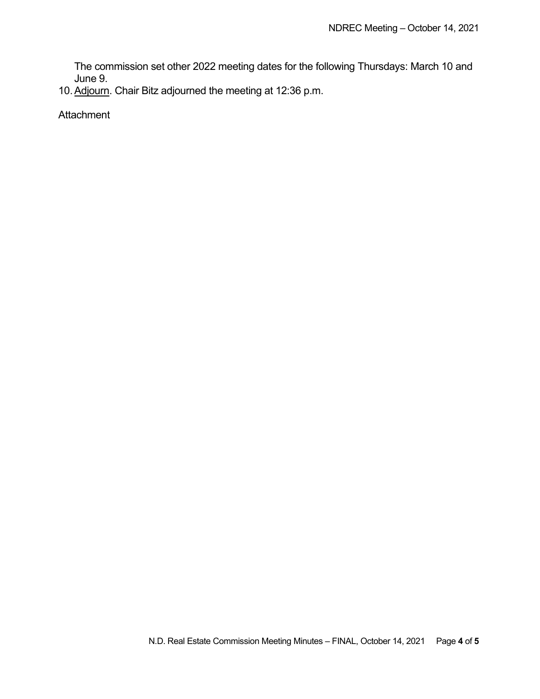The commission set other 2022 meeting dates for the following Thursdays: March 10 and June 9.

10. Adjourn. Chair Bitz adjourned the meeting at 12:36 p.m.

**Attachment**